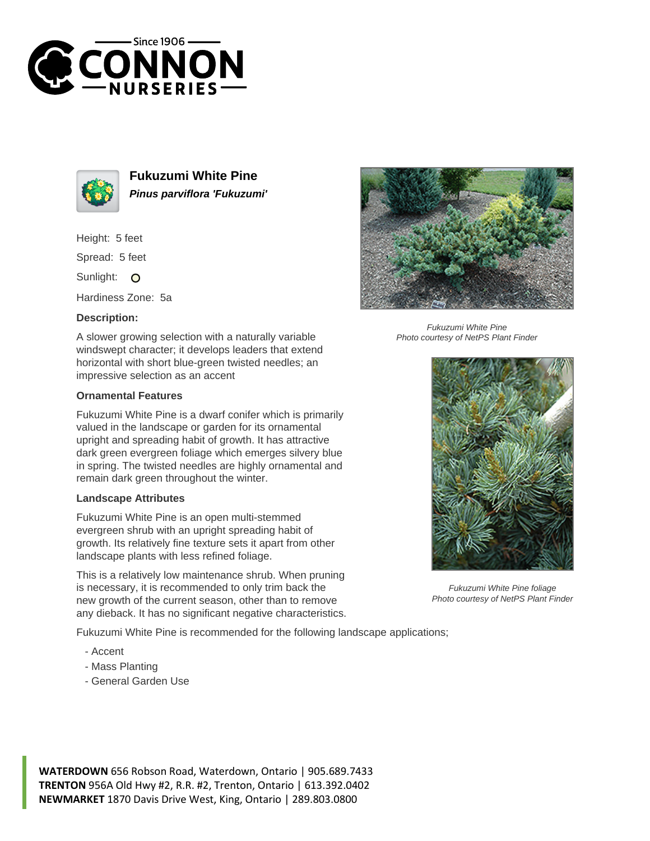



**Fukuzumi White Pine Pinus parviflora 'Fukuzumi'**

Height: 5 feet

Spread: 5 feet

Sunlight: O

Hardiness Zone: 5a

## **Description:**

A slower growing selection with a naturally variable windswept character; it develops leaders that extend horizontal with short blue-green twisted needles; an impressive selection as an accent

## **Ornamental Features**

Fukuzumi White Pine is a dwarf conifer which is primarily valued in the landscape or garden for its ornamental upright and spreading habit of growth. It has attractive dark green evergreen foliage which emerges silvery blue in spring. The twisted needles are highly ornamental and remain dark green throughout the winter.

## **Landscape Attributes**

Fukuzumi White Pine is an open multi-stemmed evergreen shrub with an upright spreading habit of growth. Its relatively fine texture sets it apart from other landscape plants with less refined foliage.

This is a relatively low maintenance shrub. When pruning is necessary, it is recommended to only trim back the new growth of the current season, other than to remove any dieback. It has no significant negative characteristics.

Fukuzumi White Pine is recommended for the following landscape applications;

- Accent
- Mass Planting
- General Garden Use



Fukuzumi White Pine Photo courtesy of NetPS Plant Finder



Fukuzumi White Pine foliage Photo courtesy of NetPS Plant Finder

**WATERDOWN** 656 Robson Road, Waterdown, Ontario | 905.689.7433 **TRENTON** 956A Old Hwy #2, R.R. #2, Trenton, Ontario | 613.392.0402 **NEWMARKET** 1870 Davis Drive West, King, Ontario | 289.803.0800